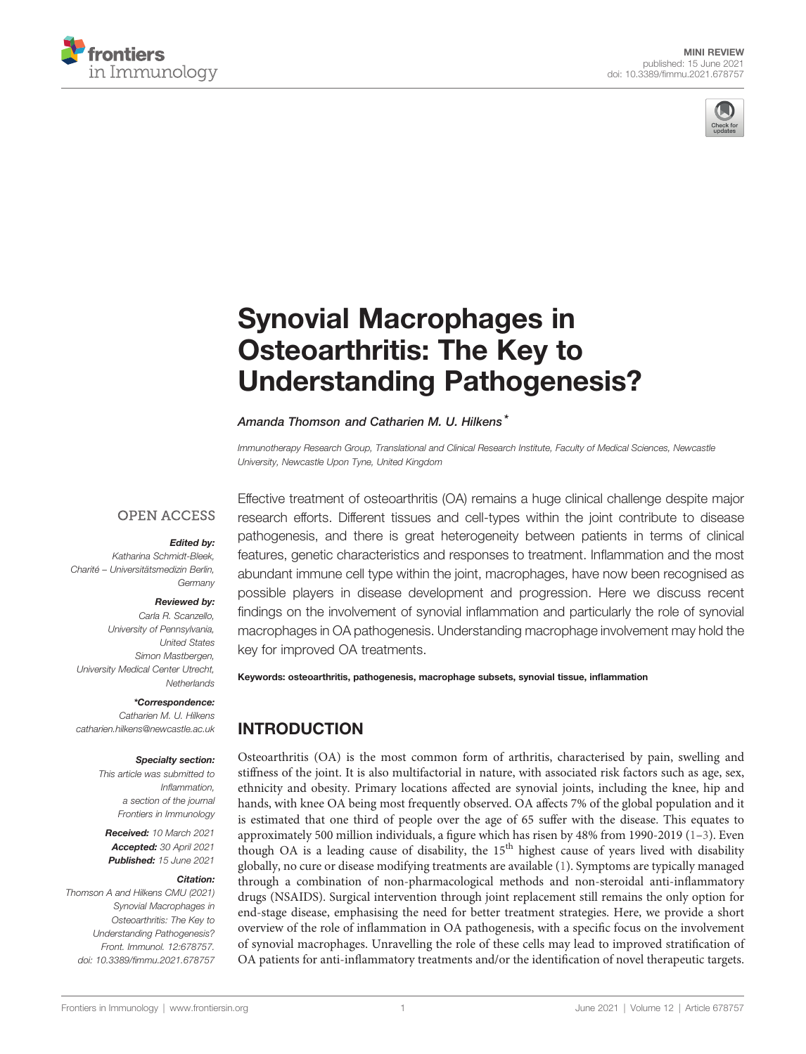



# [Synovial Macrophages in](https://www.frontiersin.org/articles/10.3389/fimmu.2021.678757/full) [Osteoarthritis: The Key to](https://www.frontiersin.org/articles/10.3389/fimmu.2021.678757/full) [Understanding Pathogenesis?](https://www.frontiersin.org/articles/10.3389/fimmu.2021.678757/full)

#### Amanda Thomson and Catharien M. U. Hilkens<sup>\*</sup>

Immunotherapy Research Group, Translational and Clinical Research Institute, Faculty of Medical Sciences, Newcastle University, Newcastle Upon Tyne, United Kingdom

#### **OPEN ACCESS**

#### Edited by:

Katharina Schmidt-Bleek, Charité – Universitätsmedizin Berlin, Germany

#### Reviewed by:

Carla R. Scanzello, University of Pennsylvania, United States Simon Mastbergen, University Medical Center Utrecht, **Netherlands** 

#### \*Correspondence:

Catharien M. U. Hilkens [catharien.hilkens@newcastle.ac.uk](mailto:catharien.hilkens@newcastle.ac.uk)

#### Specialty section:

This article was submitted to Inflammation, a section of the journal Frontiers in Immunology

Received: 10 March 2021 Accepted: 30 April 2021 Published: 15 June 2021

#### Citation:

Thomson A and Hilkens CMU (2021) Synovial Macrophages in Osteoarthritis: The Key to Understanding Pathogenesis? Front. Immunol. 12:678757. [doi: 10.3389/fimmu.2021.678757](https://doi.org/10.3389/fimmu.2021.678757)

Effective treatment of osteoarthritis (OA) remains a huge clinical challenge despite major research efforts. Different tissues and cell-types within the joint contribute to disease pathogenesis, and there is great heterogeneity between patients in terms of clinical features, genetic characteristics and responses to treatment. Inflammation and the most abundant immune cell type within the joint, macrophages, have now been recognised as possible players in disease development and progression. Here we discuss recent findings on the involvement of synovial inflammation and particularly the role of synovial macrophages in OA pathogenesis. Understanding macrophage involvement may hold the key for improved OA treatments.

Keywords: osteoarthritis, pathogenesis, macrophage subsets, synovial tissue, inflammation

## INTRODUCTION

Osteoarthritis (OA) is the most common form of arthritis, characterised by pain, swelling and stiffness of the joint. It is also multifactorial in nature, with associated risk factors such as age, sex, ethnicity and obesity. Primary locations affected are synovial joints, including the knee, hip and hands, with knee OA being most frequently observed. OA affects 7% of the global population and it is estimated that one third of people over the age of 65 suffer with the disease. This equates to approximately 500 million individuals, a figure which has risen by 48% from 1990-2019 ([1](#page-6-0)–[3\)](#page-6-0). Even though OA is a leading cause of disability, the  $15<sup>th</sup>$  highest cause of years lived with disability globally, no cure or disease modifying treatments are available ([1](#page-6-0)). Symptoms are typically managed through a combination of non-pharmacological methods and non-steroidal anti-inflammatory drugs (NSAIDS). Surgical intervention through joint replacement still remains the only option for end-stage disease, emphasising the need for better treatment strategies. Here, we provide a short overview of the role of inflammation in OA pathogenesis, with a specific focus on the involvement of synovial macrophages. Unravelling the role of these cells may lead to improved stratification of OA patients for anti-inflammatory treatments and/or the identification of novel therapeutic targets.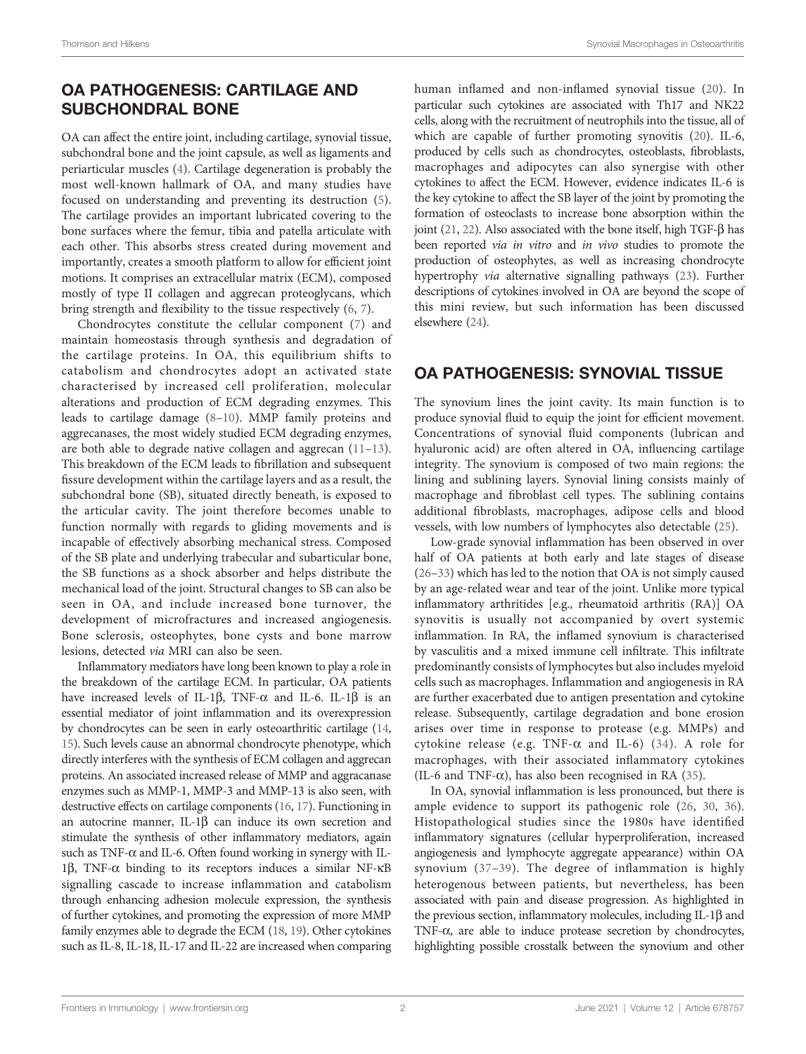### OA PATHOGENESIS: CARTILAGE AND SUBCHONDRAL BONE

OA can affect the entire joint, including cartilage, synovial tissue, subchondral bone and the joint capsule, as well as ligaments and periarticular muscles ([4](#page-6-0)). Cartilage degeneration is probably the most well-known hallmark of OA, and many studies have focused on understanding and preventing its destruction [\(5\)](#page-6-0). The cartilage provides an important lubricated covering to the bone surfaces where the femur, tibia and patella articulate with each other. This absorbs stress created during movement and importantly, creates a smooth platform to allow for efficient joint motions. It comprises an extracellular matrix (ECM), composed mostly of type II collagen and aggrecan proteoglycans, which bring strength and flexibility to the tissue respectively [\(6,](#page-6-0) [7](#page-6-0)).

Chondrocytes constitute the cellular component ([7\)](#page-6-0) and maintain homeostasis through synthesis and degradation of the cartilage proteins. In OA, this equilibrium shifts to catabolism and chondrocytes adopt an activated state characterised by increased cell proliferation, molecular alterations and production of ECM degrading enzymes. This leads to cartilage damage [\(8](#page-6-0)–[10\)](#page-6-0). MMP family proteins and aggrecanases, the most widely studied ECM degrading enzymes, are both able to degrade native collagen and aggrecan ([11](#page-6-0)–[13\)](#page-6-0). This breakdown of the ECM leads to fibrillation and subsequent fissure development within the cartilage layers and as a result, the subchondral bone (SB), situated directly beneath, is exposed to the articular cavity. The joint therefore becomes unable to function normally with regards to gliding movements and is incapable of effectively absorbing mechanical stress. Composed of the SB plate and underlying trabecular and subarticular bone, the SB functions as a shock absorber and helps distribute the mechanical load of the joint. Structural changes to SB can also be seen in OA, and include increased bone turnover, the development of microfractures and increased angiogenesis. Bone sclerosis, osteophytes, bone cysts and bone marrow lesions, detected via MRI can also be seen.

Inflammatory mediators have long been known to play a role in the breakdown of the cartilage ECM. In particular, OA patients have increased levels of IL-1 $\beta$ , TNF- $\alpha$  and IL-6. IL-1 $\beta$  is an essential mediator of joint inflammation and its overexpression by chondrocytes can be seen in early osteoarthritic cartilage [\(14](#page-6-0), [15](#page-6-0)). Such levels cause an abnormal chondrocyte phenotype, which directly interferes with the synthesis of ECM collagen and aggrecan proteins. An associated increased release of MMP and aggracanase enzymes such as MMP-1, MMP-3 and MMP-13 is also seen, with destructive effects on cartilage components [\(16,](#page-6-0) [17\)](#page-6-0). Functioning in an autocrine manner, IL-1 $\beta$  can induce its own secretion and stimulate the synthesis of other inflammatory mediators, again such as TNF- $\alpha$  and IL-6. Often found working in synergy with IL-1 $\beta$ , TNF- $\alpha$  binding to its receptors induces a similar NF- $\kappa$ B signalling cascade to increase inflammation and catabolism through enhancing adhesion molecule expression, the synthesis of further cytokines, and promoting the expression of more MMP family enzymes able to degrade the ECM [\(18](#page-6-0), [19](#page-6-0)). Other cytokines such as IL-8, IL-18, IL-17 and IL-22 are increased when comparing human inflamed and non-inflamed synovial tissue ([20\)](#page-6-0). In particular such cytokines are associated with Th17 and NK22 cells, along with the recruitment of neutrophils into the tissue, all of which are capable of further promoting synovitis ([20\)](#page-6-0). IL-6, produced by cells such as chondrocytes, osteoblasts, fibroblasts, macrophages and adipocytes can also synergise with other cytokines to affect the ECM. However, evidence indicates IL-6 is the key cytokine to affect the SB layer of the joint by promoting the formation of osteoclasts to increase bone absorption within the joint ([21](#page-6-0), [22\)](#page-6-0). Also associated with the bone itself, high TGF- $\beta$  has been reported via in vitro and in vivo studies to promote the production of osteophytes, as well as increasing chondrocyte hypertrophy via alternative signalling pathways [\(23](#page-6-0)). Further descriptions of cytokines involved in OA are beyond the scope of this mini review, but such information has been discussed elsewhere [\(24](#page-6-0)).

### OA PATHOGENESIS: SYNOVIAL TISSUE

The synovium lines the joint cavity. Its main function is to produce synovial fluid to equip the joint for efficient movement. Concentrations of synovial fluid components (lubrican and hyaluronic acid) are often altered in OA, influencing cartilage integrity. The synovium is composed of two main regions: the lining and sublining layers. Synovial lining consists mainly of macrophage and fibroblast cell types. The sublining contains additional fibroblasts, macrophages, adipose cells and blood vessels, with low numbers of lymphocytes also detectable [\(25](#page-7-0)).

Low-grade synovial inflammation has been observed in over half of OA patients at both early and late stages of disease [\(26](#page-7-0)–[33](#page-7-0)) which has led to the notion that OA is not simply caused by an age-related wear and tear of the joint. Unlike more typical inflammatory arthritides [e.g., rheumatoid arthritis (RA)] OA synovitis is usually not accompanied by overt systemic inflammation. In RA, the inflamed synovium is characterised by vasculitis and a mixed immune cell infiltrate. This infiltrate predominantly consists of lymphocytes but also includes myeloid cells such as macrophages. Inflammation and angiogenesis in RA are further exacerbated due to antigen presentation and cytokine release. Subsequently, cartilage degradation and bone erosion arises over time in response to protease (e.g. MMPs) and cytokine release (e.g. TNF- $\alpha$  and IL-6) ([34](#page-7-0)). A role for macrophages, with their associated inflammatory cytokines (IL-6 and TNF- $\alpha$ ), has also been recognised in RA ([35\)](#page-7-0).

In OA, synovial inflammation is less pronounced, but there is ample evidence to support its pathogenic role ([26](#page-7-0), [30](#page-7-0), [36\)](#page-7-0). Histopathological studies since the 1980s have identified inflammatory signatures (cellular hyperproliferation, increased angiogenesis and lymphocyte aggregate appearance) within OA synovium ([37](#page-7-0)–[39](#page-7-0)). The degree of inflammation is highly heterogenous between patients, but nevertheless, has been associated with pain and disease progression. As highlighted in the previous section, inflammatory molecules, including IL-1 $\beta$  and TNF- $\alpha$ , are able to induce protease secretion by chondrocytes, highlighting possible crosstalk between the synovium and other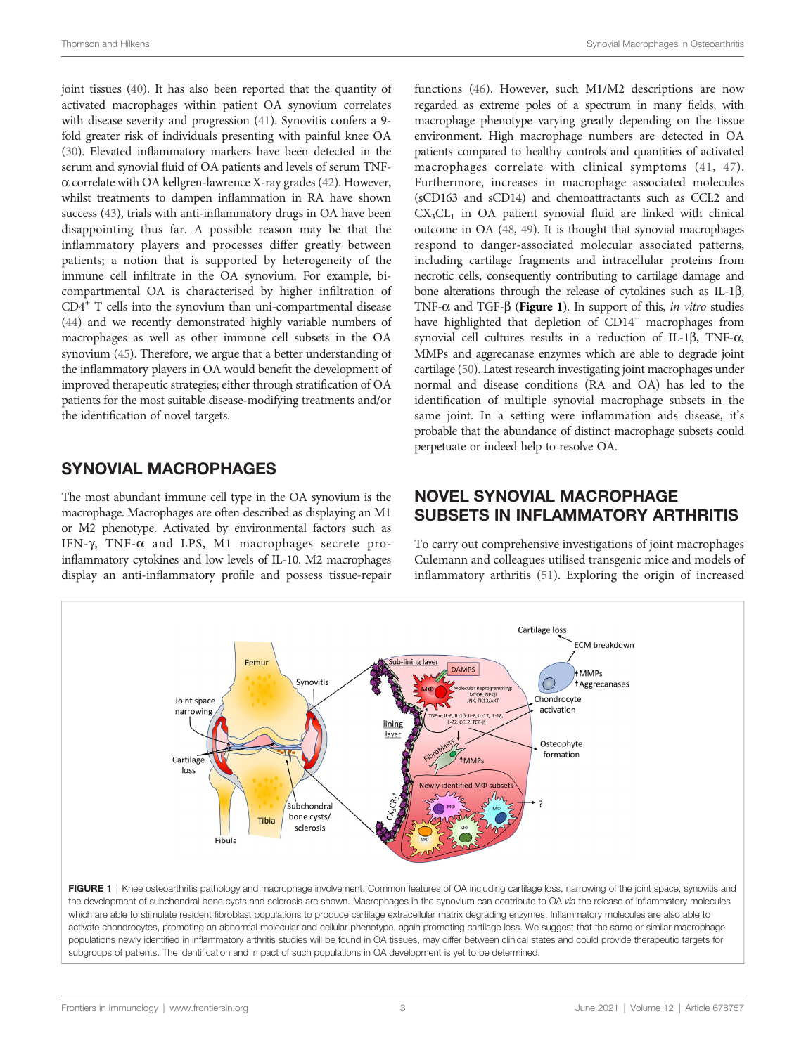joint tissues ([40](#page-7-0)). It has also been reported that the quantity of activated macrophages within patient OA synovium correlates with disease severity and progression ([41\)](#page-7-0). Synovitis confers a 9 fold greater risk of individuals presenting with painful knee OA [\(30](#page-7-0)). Elevated inflammatory markers have been detected in the serum and synovial fluid of OA patients and levels of serum TNF- $\alpha$  correlate with OA kellgren-lawrence X-ray grades [\(42\)](#page-7-0). However, whilst treatments to dampen inflammation in RA have shown success [\(43](#page-7-0)), trials with anti-inflammatory drugs in OA have been disappointing thus far. A possible reason may be that the inflammatory players and processes differ greatly between patients; a notion that is supported by heterogeneity of the immune cell infiltrate in the OA synovium. For example, bicompartmental OA is characterised by higher infiltration of CD4+ T cells into the synovium than uni-compartmental disease [\(44](#page-7-0)) and we recently demonstrated highly variable numbers of macrophages as well as other immune cell subsets in the OA synovium [\(45\)](#page-7-0). Therefore, we argue that a better understanding of the inflammatory players in OA would benefit the development of improved therapeutic strategies; either through stratification of OA patients for the most suitable disease-modifying treatments and/or the identification of novel targets.

### SYNOVIAL MACROPHAGES

The most abundant immune cell type in the OA synovium is the macrophage. Macrophages are often described as displaying an M1 or M2 phenotype. Activated by environmental factors such as IFN- $\gamma$ , TNF- $\alpha$  and LPS, M1 macrophages secrete proinflammatory cytokines and low levels of IL-10. M2 macrophages display an anti-inflammatory profile and possess tissue-repair

functions ([46\)](#page-7-0). However, such M1/M2 descriptions are now regarded as extreme poles of a spectrum in many fields, with macrophage phenotype varying greatly depending on the tissue environment. High macrophage numbers are detected in OA patients compared to healthy controls and quantities of activated macrophages correlate with clinical symptoms ([41,](#page-7-0) [47](#page-7-0)). Furthermore, increases in macrophage associated molecules (sCD163 and sCD14) and chemoattractants such as CCL2 and  $CX<sub>3</sub>CL<sub>1</sub>$  in OA patient synovial fluid are linked with clinical outcome in OA [\(48,](#page-7-0) [49\)](#page-7-0). It is thought that synovial macrophages respond to danger-associated molecular associated patterns, including cartilage fragments and intracellular proteins from necrotic cells, consequently contributing to cartilage damage and bone alterations through the release of cytokines such as IL-1b, TNF- $\alpha$  and TGF- $\beta$  (Figure 1). In support of this, in vitro studies have highlighted that depletion of CD14<sup>+</sup> macrophages from synovial cell cultures results in a reduction of IL-1 $\beta$ , TNF- $\alpha$ , MMPs and aggrecanase enzymes which are able to degrade joint cartilage [\(50\)](#page-7-0). Latest research investigating joint macrophages under normal and disease conditions (RA and OA) has led to the identification of multiple synovial macrophage subsets in the same joint. In a setting were inflammation aids disease, it's probable that the abundance of distinct macrophage subsets could perpetuate or indeed help to resolve OA.

### NOVEL SYNOVIAL MACROPHAGE SUBSETS IN INFLAMMATORY ARTHRITIS

To carry out comprehensive investigations of joint macrophages Culemann and colleagues utilised transgenic mice and models of inflammatory arthritis ([51\)](#page-7-0). Exploring the origin of increased

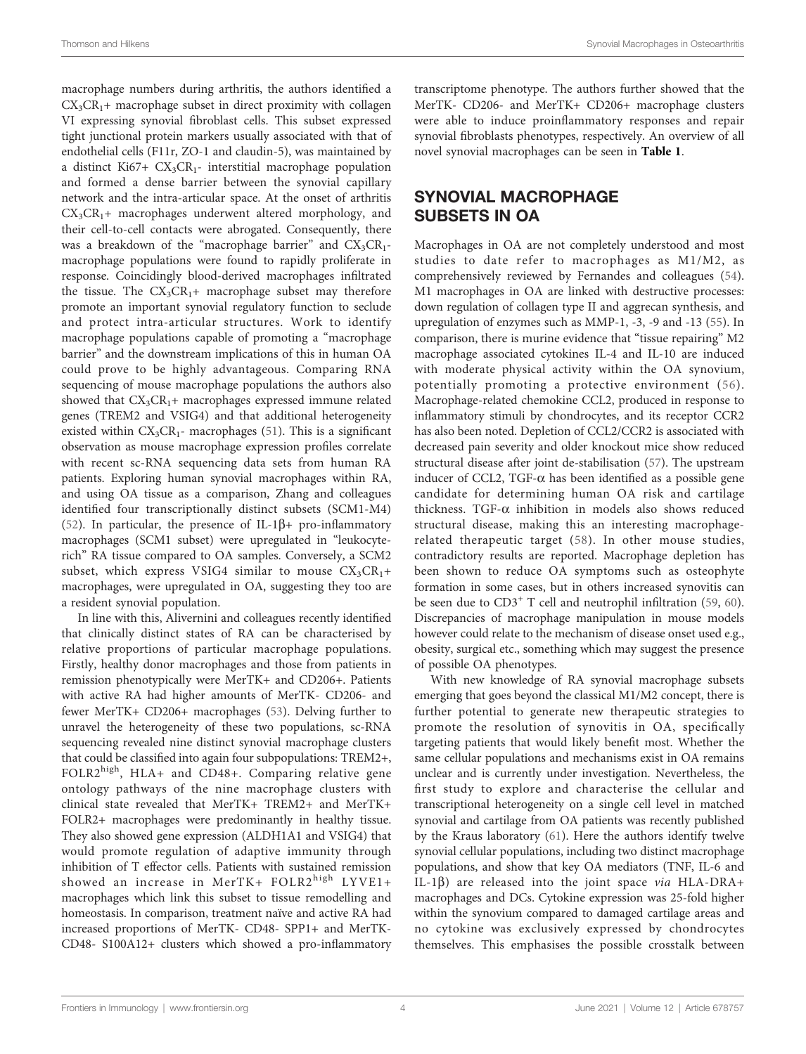macrophage numbers during arthritis, the authors identified a  $CX<sub>3</sub>CR<sub>1</sub>$ + macrophage subset in direct proximity with collagen VI expressing synovial fibroblast cells. This subset expressed tight junctional protein markers usually associated with that of endothelial cells (F11r, ZO-1 and claudin-5), was maintained by a distinct Ki67+  $CX_3CR_1$ - interstitial macrophage population and formed a dense barrier between the synovial capillary network and the intra-articular space. At the onset of arthritis  $CX<sub>3</sub>CR<sub>1</sub>$ + macrophages underwent altered morphology, and their cell-to-cell contacts were abrogated. Consequently, there was a breakdown of the "macrophage barrier" and  $CX_3CR_1$ macrophage populations were found to rapidly proliferate in response. Coincidingly blood-derived macrophages infiltrated the tissue. The  $CX_3CR_1$ + macrophage subset may therefore promote an important synovial regulatory function to seclude and protect intra-articular structures. Work to identify macrophage populations capable of promoting a "macrophage barrier" and the downstream implications of this in human OA could prove to be highly advantageous. Comparing RNA sequencing of mouse macrophage populations the authors also showed that  $CX_3CR_1$ + macrophages expressed immune related genes (TREM2 and VSIG4) and that additional heterogeneity existed within  $CX_3CR_1$ - macrophages [\(51](#page-7-0)). This is a significant observation as mouse macrophage expression profiles correlate with recent sc-RNA sequencing data sets from human RA patients. Exploring human synovial macrophages within RA, and using OA tissue as a comparison, Zhang and colleagues identified four transcriptionally distinct subsets (SCM1-M4) ([52\)](#page-7-0). In particular, the presence of IL-1 $\beta$ + pro-inflammatory macrophages (SCM1 subset) were upregulated in "leukocyterich" RA tissue compared to OA samples. Conversely, a SCM2 subset, which express VSIG4 similar to mouse  $CX_3CR_1+$ macrophages, were upregulated in OA, suggesting they too are a resident synovial population.

In line with this, Alivernini and colleagues recently identified that clinically distinct states of RA can be characterised by relative proportions of particular macrophage populations. Firstly, healthy donor macrophages and those from patients in remission phenotypically were MerTK+ and CD206+. Patients with active RA had higher amounts of MerTK- CD206- and fewer MerTK+ CD206+ macrophages ([53\)](#page-7-0). Delving further to unravel the heterogeneity of these two populations, sc-RNA sequencing revealed nine distinct synovial macrophage clusters that could be classified into again four subpopulations: TREM2+, FOLR2<sup>high</sup>, HLA+ and CD48+. Comparing relative gene ontology pathways of the nine macrophage clusters with clinical state revealed that MerTK+ TREM2+ and MerTK+ FOLR2+ macrophages were predominantly in healthy tissue. They also showed gene expression (ALDH1A1 and VSIG4) that would promote regulation of adaptive immunity through inhibition of T effector cells. Patients with sustained remission showed an increase in MerTK+ FOLR2<sup>high</sup> LYVE1+ macrophages which link this subset to tissue remodelling and homeostasis. In comparison, treatment naïve and active RA had increased proportions of MerTK- CD48- SPP1+ and MerTK-CD48- S100A12+ clusters which showed a pro-inflammatory transcriptome phenotype. The authors further showed that the MerTK- CD206- and MerTK+ CD206+ macrophage clusters were able to induce proinflammatory responses and repair synovial fibroblasts phenotypes, respectively. An overview of all novel synovial macrophages can be seen in [Table 1](#page-4-0).

### SYNOVIAL MACROPHAGE SUBSETS IN OA

Macrophages in OA are not completely understood and most studies to date refer to macrophages as M1/M2, as comprehensively reviewed by Fernandes and colleagues [\(54\)](#page-7-0). M1 macrophages in OA are linked with destructive processes: down regulation of collagen type II and aggrecan synthesis, and upregulation of enzymes such as MMP-1, -3, -9 and -13 ([55\)](#page-7-0). In comparison, there is murine evidence that "tissue repairing" M2 macrophage associated cytokines IL-4 and IL-10 are induced with moderate physical activity within the OA synovium, potentially promoting a protective environment ([56\)](#page-7-0). Macrophage-related chemokine CCL2, produced in response to inflammatory stimuli by chondrocytes, and its receptor CCR2 has also been noted. Depletion of CCL2/CCR2 is associated with decreased pain severity and older knockout mice show reduced structural disease after joint de-stabilisation [\(57](#page-7-0)). The upstream inducer of CCL2, TGF- $\alpha$  has been identified as a possible gene candidate for determining human OA risk and cartilage thickness. TGF- $\alpha$  inhibition in models also shows reduced structural disease, making this an interesting macrophagerelated therapeutic target ([58](#page-7-0)). In other mouse studies, contradictory results are reported. Macrophage depletion has been shown to reduce OA symptoms such as osteophyte formation in some cases, but in others increased synovitis can be seen due to  $CD3<sup>+</sup>$  T cell and neutrophil infiltration [\(59](#page-7-0), [60\)](#page-7-0). Discrepancies of macrophage manipulation in mouse models however could relate to the mechanism of disease onset used e.g., obesity, surgical etc., something which may suggest the presence of possible OA phenotypes.

With new knowledge of RA synovial macrophage subsets emerging that goes beyond the classical M1/M2 concept, there is further potential to generate new therapeutic strategies to promote the resolution of synovitis in OA, specifically targeting patients that would likely benefit most. Whether the same cellular populations and mechanisms exist in OA remains unclear and is currently under investigation. Nevertheless, the first study to explore and characterise the cellular and transcriptional heterogeneity on a single cell level in matched synovial and cartilage from OA patients was recently published by the Kraus laboratory ([61\)](#page-7-0). Here the authors identify twelve synovial cellular populations, including two distinct macrophage populations, and show that key OA mediators (TNF, IL-6 and IL-1b) are released into the joint space via HLA-DRA+ macrophages and DCs. Cytokine expression was 25-fold higher within the synovium compared to damaged cartilage areas and no cytokine was exclusively expressed by chondrocytes themselves. This emphasises the possible crosstalk between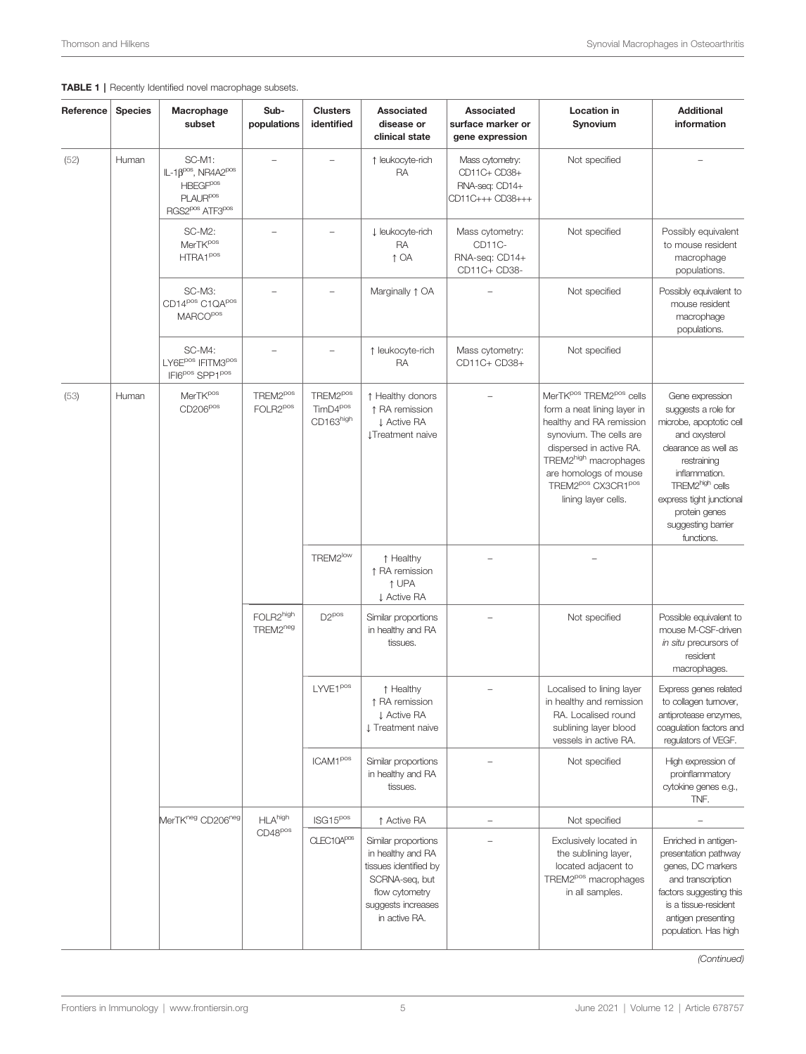#### Reference Species Macrophage subset Subpopulations Clusters identified Associated disease or clinical state Associated surface marker or gene expression Location in Synovium **Additional** information  $(52)$  Human SC-M1:  $IL-1B<sup>pos</sup>, NR4A2<sup>pos</sup>$ **HBEGF<sup>pos</sup>** PLAUR<sup>pos</sup> RGS2pos ATF3pos – – ↑ leukocyte-rich RA Mass cytometry: CD11C+ CD38+ RNA-seq: CD14+ CD11C+++ CD38+++ Not specified – SC-M2: MerTK<sup>pos</sup> HTRA1<sup>pos</sup> – – ↓ leukocyte-rich RA ↑ OA Mass cytometry: CD<sub>11C</sub> RNA-seq: CD14+ CD11C+ CD38- Not specified Possibly equivalent to mouse resident macrophage populations. SC-M3: CD14<sup>pos</sup> C1QA<sup>pos</sup> **MARCO**<sup>pos</sup> Marginally  $\uparrow$  OA  $\qquad$  – Not specified Possibly equivalent to mouse resident macrophage populations. SC-M4: LY6E<sup>pos</sup> IFITM3<sup>pos</sup> IFI6pos SPP1pos – – ↑ leukocyte-rich RA Mass cytometry: CD11C+ CD38+ Not specified  $(53)$  Human MerTK<sup>pos</sup> CD206pos TREM2pos FOLR2pos TREM2pos TimD4pos CD163high ↑ Healthy donors ↑ RA remission ↓ Active RA ↓Treatment naive MerTK<sup>pos</sup> TREM2<sup>pos</sup> cells form a neat lining layer in healthy and RA remission synovium. The cells are dispersed in active RA. TREM2high macrophages are homologs of mouse TREM2<sup>pos</sup> CX3CR1<sup>pos</sup> lining layer cells. Gene expression suggests a role for microbe, apoptotic cell and oxysterol clearance as well as restraining inflammation. TREM2high cells express tight junctional protein genes suggesting barrier functions. TREM2<sup>low</sup> | ↑ Healthy ↑ RA remission ↑ UPA ↓ Active RA – – FOLR2high TREM2neg D2<sup>pos</sup> Similar proportions in healthy and RA tissues. Not specified Possible equivalent to mouse M-CSF-driven in situ precursors of resident macrophages. LYVE1<sup>pos</sup> ↑ Healthy ↑ RA remission ↓ Active RA ↓ Treatment naive – Localised to lining layer in healthy and remission RA. Localised round sublining layer blood vessels in active RA. Express genes related to collagen turnover, antiprotease enzymes, coagulation factors and regulators of VEGF. ICAM1<sup>pos</sup> Similar proportions in healthy and RA tissues. Not specified High expression of proinflammatory cytokine genes e.g., TNF. MerTK<sup>neg</sup> CD206<sup>neg</sup> HLA<sup>high</sup> CD48pos  $\left\| \text{ISG15}^{\text{pos}} \right\|$   $\uparrow$  Active RA  $\left\| - \text{S15}^{\text{pos}} \right\|$   $\uparrow$  Active RA  $CLE C10A<sup>pos</sup>$  Similar proportions in healthy and RA tissues identified by SCRNA-seq, but flow cytometry suggests increases in active RA. – Exclusively located in the sublining layer, located adjacent to TREM2pos macrophages in all samples. Enriched in antigenpresentation pathway genes, DC markers and transcription factors suggesting this is a tissue-resident antigen presenting population. Has high

#### <span id="page-4-0"></span>TABLE 1 | Recently Identified novel macrophage subsets.

(Continued)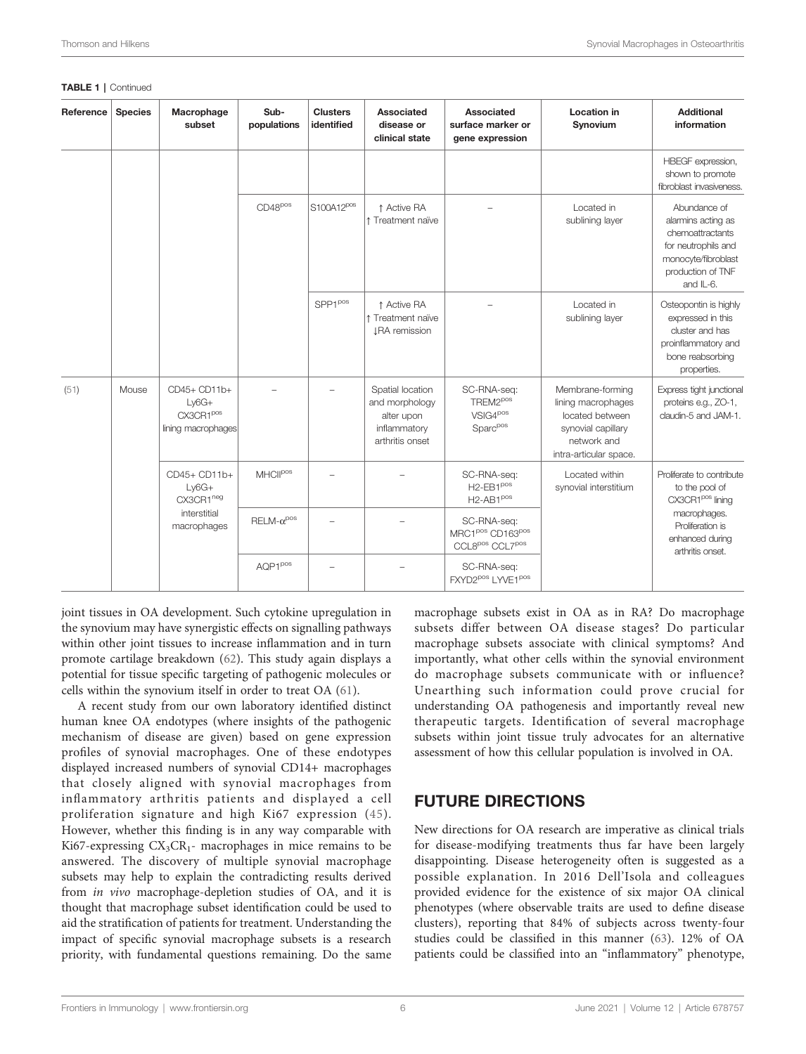| Reference | <b>Species</b> | Macrophage<br>subset                                                | Sub-<br>populations | <b>Clusters</b><br>identified | Associated<br>disease or<br>clinical state                                          | Associated<br>surface marker or<br>gene expression                                                 | Location in<br>Synovium                                                                                                  | <b>Additional</b><br>information                                                                                                                       |
|-----------|----------------|---------------------------------------------------------------------|---------------------|-------------------------------|-------------------------------------------------------------------------------------|----------------------------------------------------------------------------------------------------|--------------------------------------------------------------------------------------------------------------------------|--------------------------------------------------------------------------------------------------------------------------------------------------------|
|           |                |                                                                     |                     |                               |                                                                                     |                                                                                                    |                                                                                                                          | HBEGF expression,<br>shown to promote<br>fibroblast invasiveness.                                                                                      |
|           |                |                                                                     | $CD48^{pos}$        | S100A12 <sup>pos</sup>        | ↑ Active RA<br>↑ Treatment naïve                                                    |                                                                                                    | Located in<br>sublining layer                                                                                            | Abundance of<br>alarmins acting as<br>chemoattractants<br>for neutrophils and<br>monocyte/fibroblast<br>production of TNF<br>and IL-6.                 |
|           |                |                                                                     |                     | $SPP1^{pos}$                  | ↑ Active RA<br>1 Treatment naïve<br><b>JRA</b> remission                            |                                                                                                    | Located in<br>sublining layer                                                                                            | Osteopontin is highly<br>expressed in this<br>cluster and has<br>proinflammatory and<br>bone reabsorbing<br>properties.                                |
| (51)      | Mouse          | CD45+ CD11b+<br>$Ly6G+$<br>CX3CR1POS<br>lining macrophages          |                     |                               | Spatial location<br>and morphology<br>alter upon<br>inflammatory<br>arthritis onset | SC-RNA-seq:<br>TREM2 <sup>pos</sup><br>$VSIG4^{pos}$<br>Sparc <sup>pos</sup>                       | Membrane-forming<br>lining macrophages<br>located between<br>synovial capillary<br>network and<br>intra-articular space. | Express tight junctional<br>proteins e.g., ZO-1,<br>claudin-5 and JAM-1.                                                                               |
|           |                | CD45+ CD11b+<br>$Ly6G+$<br>CX3CR1neg<br>interstitial<br>macrophages | <b>MHCIIPOS</b>     |                               |                                                                                     | SC-RNA-seq:<br>H <sub>2</sub> -EB <sub>1</sub> pos<br>$H2-AB1pos$                                  | Located within<br>synovial interstitium                                                                                  | Proliferate to contribute<br>to the pool of<br>CX3CR1 <sup>pos</sup> lining<br>macrophages.<br>Proliferation is<br>enhanced during<br>arthritis onset. |
|           |                |                                                                     | $RELM-\alpha^{pos}$ |                               |                                                                                     | SC-RNA-seq:<br>MRC1 <sup>pos</sup> CD163 <sup>pos</sup><br>CCL8 <sup>pos</sup> CCL7 <sup>pos</sup> |                                                                                                                          |                                                                                                                                                        |
|           |                |                                                                     | AQP1POS             |                               |                                                                                     | SC-RNA-seq:<br>FXYD2 <sup>pos</sup> LYVE1 <sup>pos</sup>                                           |                                                                                                                          |                                                                                                                                                        |

#### TABLE 1 | Continued

joint tissues in OA development. Such cytokine upregulation in the synovium may have synergistic effects on signalling pathways within other joint tissues to increase inflammation and in turn promote cartilage breakdown [\(62\)](#page-7-0). This study again displays a potential for tissue specific targeting of pathogenic molecules or cells within the synovium itself in order to treat OA [\(61\)](#page-7-0).

A recent study from our own laboratory identified distinct human knee OA endotypes (where insights of the pathogenic mechanism of disease are given) based on gene expression profiles of synovial macrophages. One of these endotypes displayed increased numbers of synovial CD14+ macrophages that closely aligned with synovial macrophages from inflammatory arthritis patients and displayed a cell proliferation signature and high Ki67 expression ([45](#page-7-0)). However, whether this finding is in any way comparable with Ki67-expressing  $CX_3CR_1$ - macrophages in mice remains to be answered. The discovery of multiple synovial macrophage subsets may help to explain the contradicting results derived from in vivo macrophage-depletion studies of OA, and it is thought that macrophage subset identification could be used to aid the stratification of patients for treatment. Understanding the impact of specific synovial macrophage subsets is a research priority, with fundamental questions remaining. Do the same

macrophage subsets exist in OA as in RA? Do macrophage subsets differ between OA disease stages? Do particular macrophage subsets associate with clinical symptoms? And importantly, what other cells within the synovial environment do macrophage subsets communicate with or influence? Unearthing such information could prove crucial for understanding OA pathogenesis and importantly reveal new therapeutic targets. Identification of several macrophage subsets within joint tissue truly advocates for an alternative assessment of how this cellular population is involved in OA.

### FUTURE DIRECTIONS

New directions for OA research are imperative as clinical trials for disease-modifying treatments thus far have been largely disappointing. Disease heterogeneity often is suggested as a possible explanation. In 2016 Dell'Isola and colleagues provided evidence for the existence of six major OA clinical phenotypes (where observable traits are used to define disease clusters), reporting that 84% of subjects across twenty-four studies could be classified in this manner ([63\)](#page-7-0). 12% of OA patients could be classified into an "inflammatory" phenotype,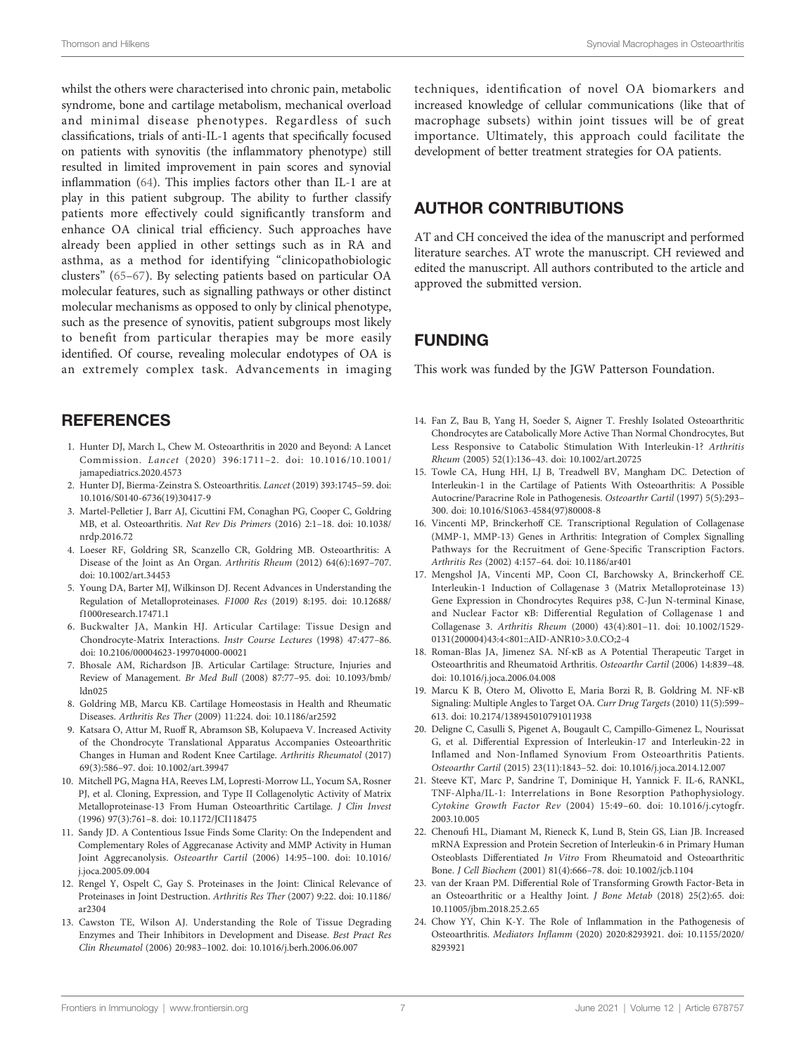<span id="page-6-0"></span>Thomson and Hilkens **Synovial Macrophages in Osteoarthritis** Synovial Macrophages in Osteoarthritis

whilst the others were characterised into chronic pain, metabolic syndrome, bone and cartilage metabolism, mechanical overload and minimal disease phenotypes. Regardless of such classifications, trials of anti-IL-1 agents that specifically focused on patients with synovitis (the inflammatory phenotype) still resulted in limited improvement in pain scores and synovial inflammation ([64\)](#page-8-0). This implies factors other than IL-1 are at play in this patient subgroup. The ability to further classify patients more effectively could significantly transform and enhance OA clinical trial efficiency. Such approaches have already been applied in other settings such as in RA and asthma, as a method for identifying "clinicopathobiologic clusters" [\(65](#page-8-0)–[67](#page-8-0)). By selecting patients based on particular OA molecular features, such as signalling pathways or other distinct molecular mechanisms as opposed to only by clinical phenotype, such as the presence of synovitis, patient subgroups most likely to benefit from particular therapies may be more easily identified. Of course, revealing molecular endotypes of OA is an extremely complex task. Advancements in imaging

### **REFERENCES**

- 1. Hunter DJ, March L, Chew M. Osteoarthritis in 2020 and Beyond: A Lancet Commission. Lancet (2020) 396:1711–2. doi: [10.1016/10.1001/](https://doi.org/10.1016/10.1001/jamapediatrics.2020.4573) [jamapediatrics.2020.4573](https://doi.org/10.1016/10.1001/jamapediatrics.2020.4573)
- 2. Hunter DJ, Bierma-Zeinstra S. Osteoarthritis. Lancet (2019) 393:1745–59. doi: [10.1016/S0140-6736\(19\)30417-9](https://doi.org/10.1016/S0140-6736(19)30417-9)
- 3. Martel-Pelletier J, Barr AJ, Cicuttini FM, Conaghan PG, Cooper C, Goldring MB, et al. Osteoarthritis. Nat Rev Dis Primers (2016) 2:1–18. doi: [10.1038/](https://doi.org/10.1038/nrdp.2016.72) [nrdp.2016.72](https://doi.org/10.1038/nrdp.2016.72)
- 4. Loeser RF, Goldring SR, Scanzello CR, Goldring MB. Osteoarthritis: A Disease of the Joint as An Organ. Arthritis Rheum (2012) 64(6):1697–707. doi: [10.1002/art.34453](https://doi.org/10.1002/art.34453)
- 5. Young DA, Barter MJ, Wilkinson DJ. Recent Advances in Understanding the Regulation of Metalloproteinases. F1000 Res (2019) 8:195. doi: [10.12688/](https://doi.org/10.12688/f1000research.17471.1) [f1000research.17471.1](https://doi.org/10.12688/f1000research.17471.1)
- 6. Buckwalter JA, Mankin HJ. Articular Cartilage: Tissue Design and Chondrocyte-Matrix Interactions. Instr Course Lectures (1998) 47:477–86. doi: [10.2106/00004623-199704000-00021](https://doi.org/10.2106/00004623-199704000-00021)
- 7. Bhosale AM, Richardson JB. Articular Cartilage: Structure, Injuries and Review of Management. Br Med Bull (2008) 87:77–95. doi: [10.1093/bmb/](https://doi.org/10.1093/bmb/ldn025) [ldn025](https://doi.org/10.1093/bmb/ldn025)
- 8. Goldring MB, Marcu KB. Cartilage Homeostasis in Health and Rheumatic Diseases. Arthritis Res Ther (2009) 11:224. doi: [10.1186/ar2592](https://doi.org/10.1186/ar2592)
- 9. Katsara O, Attur M, Ruoff R, Abramson SB, Kolupaeva V. Increased Activity of the Chondrocyte Translational Apparatus Accompanies Osteoarthritic Changes in Human and Rodent Knee Cartilage. Arthritis Rheumatol (2017) 69(3):586–97. doi: [10.1002/art.39947](https://doi.org/10.1002/art.39947)
- 10. Mitchell PG, Magna HA, Reeves LM, Lopresti-Morrow LL, Yocum SA, Rosner PJ, et al. Cloning, Expression, and Type II Collagenolytic Activity of Matrix Metalloproteinase-13 From Human Osteoarthritic Cartilage. J Clin Invest (1996) 97(3):761–8. doi: [10.1172/JCI118475](https://doi.org/10.1172/JCI118475)
- 11. Sandy JD. A Contentious Issue Finds Some Clarity: On the Independent and Complementary Roles of Aggrecanase Activity and MMP Activity in Human Joint Aggrecanolysis. Osteoarthr Cartil (2006) 14:95–100. doi: [10.1016/](https://doi.org/10.1016/j.joca.2005.09.004) [j.joca.2005.09.004](https://doi.org/10.1016/j.joca.2005.09.004)
- 12. Rengel Y, Ospelt C, Gay S. Proteinases in the Joint: Clinical Relevance of Proteinases in Joint Destruction. Arthritis Res Ther (2007) 9:22. doi: [10.1186/](https://doi.org/10.1186/ar2304) [ar2304](https://doi.org/10.1186/ar2304)
- 13. Cawston TE, Wilson AJ. Understanding the Role of Tissue Degrading Enzymes and Their Inhibitors in Development and Disease. Best Pract Res Clin Rheumatol (2006) 20:983–1002. doi: [10.1016/j.berh.2006.06.007](https://doi.org/10.1016/j.berh.2006.06.007)

techniques, identification of novel OA biomarkers and increased knowledge of cellular communications (like that of macrophage subsets) within joint tissues will be of great importance. Ultimately, this approach could facilitate the development of better treatment strategies for OA patients.

### AUTHOR CONTRIBUTIONS

AT and CH conceived the idea of the manuscript and performed literature searches. AT wrote the manuscript. CH reviewed and edited the manuscript. All authors contributed to the article and approved the submitted version.

### FUNDING

This work was funded by the JGW Patterson Foundation.

- 14. Fan Z, Bau B, Yang H, Soeder S, Aigner T. Freshly Isolated Osteoarthritic Chondrocytes are Catabolically More Active Than Normal Chondrocytes, But Less Responsive to Catabolic Stimulation With Interleukin-1? Arthritis Rheum (2005) 52(1):136–43. doi: [10.1002/art.20725](https://doi.org/10.1002/art.20725)
- 15. Towle CA, Hung HH, LJ B, Treadwell BV, Mangham DC. Detection of Interleukin-1 in the Cartilage of Patients With Osteoarthritis: A Possible Autocrine/Paracrine Role in Pathogenesis. Osteoarthr Cartil (1997) 5(5):293– 300. doi: [10.1016/S1063-4584\(97\)80008-8](https://doi.org/10.1016/S1063-4584(97)80008-8)
- 16. Vincenti MP, Brinckerhoff CE. Transcriptional Regulation of Collagenase (MMP-1, MMP-13) Genes in Arthritis: Integration of Complex Signalling Pathways for the Recruitment of Gene-Specific Transcription Factors. Arthritis Res (2002) 4:157–64. doi: [10.1186/ar401](https://doi.org/10.1186/ar401)
- 17. Mengshol JA, Vincenti MP, Coon CI, Barchowsky A, Brinckerhoff CE. Interleukin-1 Induction of Collagenase 3 (Matrix Metalloproteinase 13) Gene Expression in Chondrocytes Requires p38, C-Jun N-terminal Kinase, and Nuclear Factor kB: Differential Regulation of Collagenase 1 and Collagenase 3. Arthritis Rheum (2000) 43(4):801–11. doi: [10.1002/1529-](https://doi.org/10.1002/1529-0131(200004)43:4%3C801::AID-ANR10%3E3.0.CO;2-4) [0131\(200004\)43:4<801::AID-ANR10>3.0.CO;2-4](https://doi.org/10.1002/1529-0131(200004)43:4%3C801::AID-ANR10%3E3.0.CO;2-4)
- 18. Roman-Blas JA, Jimenez SA. Nf-kB as A Potential Therapeutic Target in Osteoarthritis and Rheumatoid Arthritis. Osteoarthr Cartil (2006) 14:839–48. doi: [10.1016/j.joca.2006.04.008](https://doi.org/10.1016/j.joca.2006.04.008)
- 19. Marcu K B, Otero M, Olivotto E, Maria Borzi R, B. Goldring M. NF-k<sup>B</sup> Signaling: Multiple Angles to Target OA. Curr Drug Targets (2010) 11(5):599– 613. doi: [10.2174/138945010791011938](https://doi.org/10.2174/138945010791011938)
- 20. Deligne C, Casulli S, Pigenet A, Bougault C, Campillo-Gimenez L, Nourissat G, et al. Differential Expression of Interleukin-17 and Interleukin-22 in Inflamed and Non-Inflamed Synovium From Osteoarthritis Patients. Osteoarthr Cartil (2015) 23(11):1843–52. doi: [10.1016/j.joca.2014.12.007](https://doi.org/10.1016/j.joca.2014.12.007)
- 21. Steeve KT, Marc P, Sandrine T, Dominique H, Yannick F. IL-6, RANKL, TNF-Alpha/IL-1: Interrelations in Bone Resorption Pathophysiology. Cytokine Growth Factor Rev (2004) 15:49–60. doi: [10.1016/j.cytogfr.](https://doi.org/10.1016/j.cytogfr.2003.10.005) [2003.10.005](https://doi.org/10.1016/j.cytogfr.2003.10.005)
- 22. Chenoufi HL, Diamant M, Rieneck K, Lund B, Stein GS, Lian JB. Increased mRNA Expression and Protein Secretion of Interleukin-6 in Primary Human Osteoblasts Differentiated In Vitro From Rheumatoid and Osteoarthritic Bone. J Cell Biochem (2001) 81(4):666–78. doi: [10.1002/jcb.1104](https://doi.org/10.1002/jcb.1104)
- 23. van der Kraan PM. Differential Role of Transforming Growth Factor-Beta in an Osteoarthritic or a Healthy Joint. J Bone Metab (2018) 25(2):65. doi: [10.11005/jbm.2018.25.2.65](https://doi.org/10.11005/jbm.2018.25.2.65)
- 24. Chow YY, Chin K-Y. The Role of Inflammation in the Pathogenesis of Osteoarthritis. Mediators Inflamm (2020) 2020:8293921. doi: [10.1155/2020/](https://doi.org/10.1155/2020/8293921) [8293921](https://doi.org/10.1155/2020/8293921)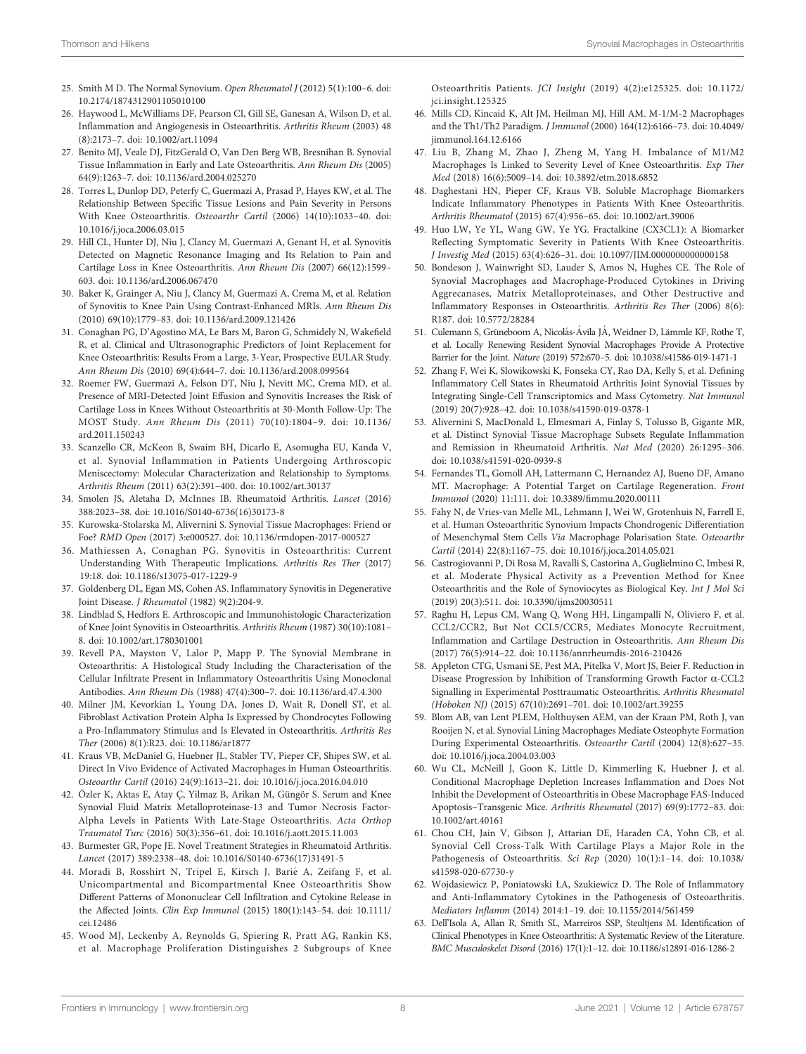- <span id="page-7-0"></span>25. Smith M D. The Normal Synovium. Open Rheumatol J (2012) 5(1):100–6. doi: [10.2174/1874312901105010100](https://doi.org/10.2174/1874312901105010100)
- 26. Haywood L, McWilliams DF, Pearson CI, Gill SE, Ganesan A, Wilson D, et al. Inflammation and Angiogenesis in Osteoarthritis. Arthritis Rheum (2003) 48 (8):2173–7. doi: [10.1002/art.11094](https://doi.org/10.1002/art.11094)
- 27. Benito MJ, Veale DJ, FitzGerald O, Van Den Berg WB, Bresnihan B. Synovial Tissue Inflammation in Early and Late Osteoarthritis. Ann Rheum Dis (2005) 64(9):1263–7. doi: [10.1136/ard.2004.025270](https://doi.org/10.1136/ard.2004.025270)
- 28. Torres L, Dunlop DD, Peterfy C, Guermazi A, Prasad P, Hayes KW, et al. The Relationship Between Specific Tissue Lesions and Pain Severity in Persons With Knee Osteoarthritis. Osteoarthr Cartil (2006) 14(10):1033–40. doi: [10.1016/j.joca.2006.03.015](https://doi.org/10.1016/j.joca.2006.03.015)
- 29. Hill CL, Hunter DJ, Niu J, Clancy M, Guermazi A, Genant H, et al. Synovitis Detected on Magnetic Resonance Imaging and Its Relation to Pain and Cartilage Loss in Knee Osteoarthritis. Ann Rheum Dis (2007) 66(12):1599– 603. doi: [10.1136/ard.2006.067470](https://doi.org/10.1136/ard.2006.067470)
- 30. Baker K, Grainger A, Niu J, Clancy M, Guermazi A, Crema M, et al. Relation of Synovitis to Knee Pain Using Contrast-Enhanced MRIs. Ann Rheum Dis (2010) 69(10):1779–83. doi: [10.1136/ard.2009.121426](https://doi.org/10.1136/ard.2009.121426)
- 31. Conaghan PG, D'Agostino MA, Le Bars M, Baron G, Schmidely N, Wakefield R, et al. Clinical and Ultrasonographic Predictors of Joint Replacement for Knee Osteoarthritis: Results From a Large, 3-Year, Prospective EULAR Study. Ann Rheum Dis (2010) 69(4):644–7. doi: [10.1136/ard.2008.099564](https://doi.org/10.1136/ard.2008.099564)
- 32. Roemer FW, Guermazi A, Felson DT, Niu J, Nevitt MC, Crema MD, et al. Presence of MRI-Detected Joint Effusion and Synovitis Increases the Risk of Cartilage Loss in Knees Without Osteoarthritis at 30-Month Follow-Up: The MOST Study. Ann Rheum Dis (2011) 70(10):1804–9. doi: [10.1136/](https://doi.org/10.1136/ard.2011.150243) [ard.2011.150243](https://doi.org/10.1136/ard.2011.150243)
- 33. Scanzello CR, McKeon B, Swaim BH, Dicarlo E, Asomugha EU, Kanda V, et al. Synovial Inflammation in Patients Undergoing Arthroscopic Meniscectomy: Molecular Characterization and Relationship to Symptoms. Arthritis Rheum (2011) 63(2):391–400. doi: [10.1002/art.30137](https://doi.org/10.1002/art.30137)
- 34. Smolen JS, Aletaha D, McInnes IB. Rheumatoid Arthritis. Lancet (2016) 388:2023–38. doi: [10.1016/S0140-6736\(16\)30173-8](https://doi.org/10.1016/S0140-6736(16)30173-8)
- 35. Kurowska-Stolarska M, Alivernini S. Synovial Tissue Macrophages: Friend or Foe? RMD Open (2017) 3:e000527. doi: [10.1136/rmdopen-2017-000527](https://doi.org/10.1136/rmdopen-2017-000527)
- 36. Mathiessen A, Conaghan PG. Synovitis in Osteoarthritis: Current Understanding With Therapeutic Implications. Arthritis Res Ther (2017) 19:18. doi: [10.1186/s13075-017-1229-9](https://doi.org/10.1186/s13075-017-1229-9)
- 37. Goldenberg DL, Egan MS, Cohen AS. Inflammatory Synovitis in Degenerative Joint Disease. J Rheumatol (1982) 9(2):204-9.
- 38. Lindblad S, Hedfors E. Arthroscopic and Immunohistologic Characterization of Knee Joint Synovitis in Osteoarthritis. Arthritis Rheum (1987) 30(10):1081– 8. doi: [10.1002/art.1780301001](https://doi.org/10.1002/art.1780301001)
- 39. Revell PA, Mayston V, Lalor P, Mapp P. The Synovial Membrane in Osteoarthritis: A Histological Study Including the Characterisation of the Cellular Infiltrate Present in Inflammatory Osteoarthritis Using Monoclonal Antibodies. Ann Rheum Dis (1988) 47(4):300–7. doi: [10.1136/ard.47.4.300](https://doi.org/10.1136/ard.47.4.300)
- 40. Milner JM, Kevorkian L, Young DA, Jones D, Wait R, Donell ST, et al. Fibroblast Activation Protein Alpha Is Expressed by Chondrocytes Following a Pro-Inflammatory Stimulus and Is Elevated in Osteoarthritis. Arthritis Res Ther (2006) 8(1):R23. doi: [10.1186/ar1877](https://doi.org/10.1186/ar1877)
- 41. Kraus VB, McDaniel G, Huebner JL, Stabler TV, Pieper CF, Shipes SW, et al. Direct In Vivo Evidence of Activated Macrophages in Human Osteoarthritis. Osteoarthr Cartil (2016) 24(9):1613–21. doi: [10.1016/j.joca.2016.04.010](https://doi.org/10.1016/j.joca.2016.04.010)
- 42. Özler K, Aktas E, Atay Ç, Yilmaz B, Arikan M, Güngör S. Serum and Knee Synovial Fluid Matrix Metalloproteinase-13 and Tumor Necrosis Factor-Alpha Levels in Patients With Late-Stage Osteoarthritis. Acta Orthop Traumatol Turc (2016) 50(3):356–61. doi: [10.1016/j.aott.2015.11.003](https://doi.org/10.1016/j.aott.2015.11.003)
- 43. Burmester GR, Pope JE. Novel Treatment Strategies in Rheumatoid Arthritis. Lancet (2017) 389:2338–48. doi: [10.1016/S0140-6736\(17\)31491-5](https://doi.org/10.1016/S0140-6736(17)31491-5)
- 44. Moradi B, Rosshirt N, Tripel E, Kirsch J, Barié A, Zeifang F, et al. Unicompartmental and Bicompartmental Knee Osteoarthritis Show Different Patterns of Mononuclear Cell Infiltration and Cytokine Release in the Affected Joints. Clin Exp Immunol (2015) 180(1):143–54. doi: [10.1111/](https://doi.org/10.1111/cei.12486) [cei.12486](https://doi.org/10.1111/cei.12486)
- 45. Wood MJ, Leckenby A, Reynolds G, Spiering R, Pratt AG, Rankin KS, et al. Macrophage Proliferation Distinguishes 2 Subgroups of Knee

Osteoarthritis Patients. JCI Insight (2019) 4(2):e125325. doi: [10.1172/](https://doi.org/10.1172/jci.insight.125325) [jci.insight.125325](https://doi.org/10.1172/jci.insight.125325)

- 46. Mills CD, Kincaid K, Alt JM, Heilman MJ, Hill AM. M-1/M-2 Macrophages and the Th1/Th2 Paradigm. J Immunol (2000) 164(12):6166–73. doi: [10.4049/](https://doi.org/10.4049/jimmunol.164.12.6166) [jimmunol.164.12.6166](https://doi.org/10.4049/jimmunol.164.12.6166)
- 47. Liu B, Zhang M, Zhao J, Zheng M, Yang H. Imbalance of M1/M2 Macrophages Is Linked to Severity Level of Knee Osteoarthritis. Exp Ther Med (2018) 16(6):5009–14. doi: [10.3892/etm.2018.6852](https://doi.org/10.3892/etm.2018.6852)
- 48. Daghestani HN, Pieper CF, Kraus VB. Soluble Macrophage Biomarkers Indicate Inflammatory Phenotypes in Patients With Knee Osteoarthritis. Arthritis Rheumatol (2015) 67(4):956–65. doi: [10.1002/art.39006](https://doi.org/10.1002/art.39006)
- 49. Huo LW, Ye YL, Wang GW, Ye YG. Fractalkine (CX3CL1): A Biomarker Reflecting Symptomatic Severity in Patients With Knee Osteoarthritis. J Investig Med (2015) 63(4):626–31. doi: [10.1097/JIM.0000000000000158](https://doi.org/10.1097/JIM.0000000000000158)
- 50. Bondeson J, Wainwright SD, Lauder S, Amos N, Hughes CE. The Role of Synovial Macrophages and Macrophage-Produced Cytokines in Driving Aggrecanases, Matrix Metalloproteinases, and Other Destructive and Inflammatory Responses in Osteoarthritis. Arthritis Res Ther (2006) 8(6): R187. doi: [10.5772/28284](https://doi.org/10.5772/28284)
- 51. Culemann S, Grüneboom A, Nicolás-Ávila JÁ, Weidner D, Lämmle KF, Rothe T, et al. Locally Renewing Resident Synovial Macrophages Provide A Protective Barrier for the Joint. Nature (2019) 572:670–5. doi: [10.1038/s41586-019-1471-1](https://doi.org/10.1038/s41586-019-1471-1)
- 52. Zhang F, Wei K, Slowikowski K, Fonseka CY, Rao DA, Kelly S, et al. Defining Inflammatory Cell States in Rheumatoid Arthritis Joint Synovial Tissues by Integrating Single-Cell Transcriptomics and Mass Cytometry. Nat Immunol (2019) 20(7):928–42. doi: [10.1038/s41590-019-0378-1](https://doi.org/10.1038/s41590-019-0378-1)
- 53. Alivernini S, MacDonald L, Elmesmari A, Finlay S, Tolusso B, Gigante MR, et al. Distinct Synovial Tissue Macrophage Subsets Regulate Inflammation and Remission in Rheumatoid Arthritis. Nat Med (2020) 26:1295–306. doi: [10.1038/s41591-020-0939-8](https://doi.org/10.1038/s41591-020-0939-8)
- 54. Fernandes TL, Gomoll AH, Lattermann C, Hernandez AJ, Bueno DF, Amano MT. Macrophage: A Potential Target on Cartilage Regeneration. Front Immunol (2020) 11:111. doi: 10.3389/fi[mmu.2020.00111](https://doi.org/10.3389/fimmu.2020.00111)
- 55. Fahy N, de Vries-van Melle ML, Lehmann J, Wei W, Grotenhuis N, Farrell E, et al. Human Osteoarthritic Synovium Impacts Chondrogenic Differentiation of Mesenchymal Stem Cells Via Macrophage Polarisation State. Osteoarthr Cartil (2014) 22(8):1167–75. doi: [10.1016/j.joca.2014.05.021](https://doi.org/10.1016/j.joca.2014.05.021)
- 56. Castrogiovanni P, Di Rosa M, Ravalli S, Castorina A, Guglielmino C, Imbesi R, et al. Moderate Physical Activity as a Prevention Method for Knee Osteoarthritis and the Role of Synoviocytes as Biological Key. Int J Mol Sci (2019) 20(3):511. doi: [10.3390/ijms20030511](https://doi.org/10.3390/ijms20030511)
- 57. Raghu H, Lepus CM, Wang Q, Wong HH, Lingampalli N, Oliviero F, et al. CCL2/CCR2, But Not CCL5/CCR5, Mediates Monocyte Recruitment, Inflammation and Cartilage Destruction in Osteoarthritis. Ann Rheum Dis (2017) 76(5):914–22. doi: [10.1136/annrheumdis-2016-210426](https://doi.org/10.1136/annrheumdis-2016-210426)
- 58. Appleton CTG, Usmani SE, Pest MA, Pitelka V, Mort JS, Beier F. Reduction in Disease Progression by Inhibition of Transforming Growth Factor  $\alpha$ -CCL2 Signalling in Experimental Posttraumatic Osteoarthritis. Arthritis Rheumatol (Hoboken NJ) (2015) 67(10):2691–701. doi: [10.1002/art.39255](https://doi.org/10.1002/art.39255)
- 59. Blom AB, van Lent PLEM, Holthuysen AEM, van der Kraan PM, Roth J, van Rooijen N, et al. Synovial Lining Macrophages Mediate Osteophyte Formation During Experimental Osteoarthritis. Osteoarthr Cartil (2004) 12(8):627–35. doi: [10.1016/j.joca.2004.03.003](https://doi.org/10.1016/j.joca.2004.03.003)
- 60. Wu CL, McNeill J, Goon K, Little D, Kimmerling K, Huebner J, et al. Conditional Macrophage Depletion Increases Inflammation and Does Not Inhibit the Development of Osteoarthritis in Obese Macrophage FAS-Induced Apoptosis–Transgenic Mice. Arthritis Rheumatol (2017) 69(9):1772–83. doi: [10.1002/art.40161](https://doi.org/10.1002/art.40161)
- 61. Chou CH, Jain V, Gibson J, Attarian DE, Haraden CA, Yohn CB, et al. Synovial Cell Cross-Talk With Cartilage Plays a Major Role in the Pathogenesis of Osteoarthritis. Sci Rep (2020) 10(1):1–14. doi: [10.1038/](https://doi.org/10.1038/s41598-020-67730-y) [s41598-020-67730-y](https://doi.org/10.1038/s41598-020-67730-y)
- 62. Wojdasiewicz P, Poniatowski ŁA, Szukiewicz D. The Role of Inflammatory and Anti-Inflammatory Cytokines in the Pathogenesis of Osteoarthritis. Mediators Inflamm (2014) 2014:1–19. doi: [10.1155/2014/561459](https://doi.org/10.1155/2014/561459)
- 63. Dell'Isola A, Allan R, Smith SL, Marreiros SSP, Steultjens M. Identification of Clinical Phenotypes in Knee Osteoarthritis: A Systematic Review of the Literature. BMC Musculoskelet Disord (2016) 17(1):1–12. doi: [10.1186/s12891-016-1286-2](https://doi.org/10.1186/s12891-016-1286-2)